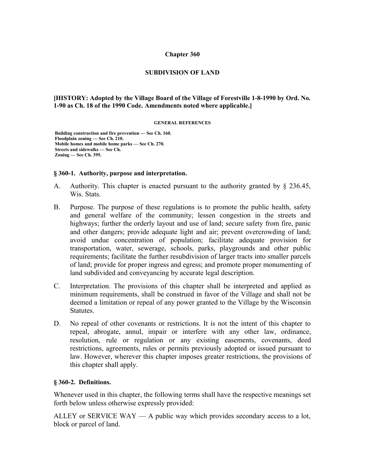#### **Chapter 360**

### **SUBDIVISION OF LAND**

### **[HISTORY: Adopted by the Village Board of the Village of Forestville 1-8-1990 by Ord. No. 1-90 as Ch. 18 of the 1990 Code. Amendments noted where applicable.]**

#### **GENERAL REFERENCES**

 **Building construction and fire prevention — See Ch. 160. Floodplain zoning — See Ch. 210. Mobile homes and mobile home parks — See Ch. 270. Streets and sidewalks — See Ch. Zoning — See Ch. 395.**

#### **§ 360-1. Authority, purpose and interpretation.**

- A. Authority. This chapter is enacted pursuant to the authority granted by § 236.45, Wis. Stats.
- B. Purpose. The purpose of these regulations is to promote the public health, safety and general welfare of the community; lessen congestion in the streets and highways; further the orderly layout and use of land; secure safety from fire, panic and other dangers; provide adequate light and air; prevent overcrowding of land; avoid undue concentration of population; facilitate adequate provision for transportation, water, sewerage, schools, parks, playgrounds and other public requirements; facilitate the further resubdivision of larger tracts into smaller parcels of land; provide for proper ingress and egress; and promote proper monumenting of land subdivided and conveyancing by accurate legal description.
- C. Interpretation. The provisions of this chapter shall be interpreted and applied as minimum requirements, shall be construed in favor of the Village and shall not be deemed a limitation or repeal of any power granted to the Village by the Wisconsin **Statutes**
- D. No repeal of other covenants or restrictions. It is not the intent of this chapter to repeal, abrogate, annul, impair or interfere with any other law, ordinance, resolution, rule or regulation or any existing easements, covenants, deed restrictions, agreements, rules or permits previously adopted or issued pursuant to law. However, wherever this chapter imposes greater restrictions, the provisions of this chapter shall apply.

#### **§ 360-2. Definitions.**

Whenever used in this chapter, the following terms shall have the respective meanings set forth below unless otherwise expressly provided:

ALLEY or SERVICE WAY — A public way which provides secondary access to a lot, block or parcel of land.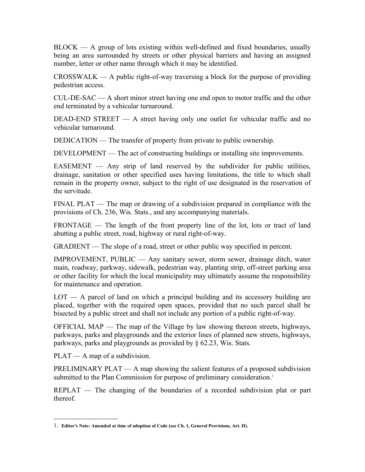BLOCK — A group of lots existing within well-defined and fixed boundaries, usually being an area surrounded by streets or other physical barriers and having an assigned number, letter or other name through which it may be identified.

 $CROSWALK - A public right-of-way traversing a block for the purpose of providing$ pedestrian access.

CUL-DE-SAC — A short minor street having one end open to motor traffic and the other end terminated by a vehicular turnaround.

DEAD-END STREET — A street having only one outlet for vehicular traffic and no vehicular turnaround.

DEDICATION — The transfer of property from private to public ownership.

DEVELOPMENT — The act of constructing buildings or installing site improvements.

 $EASEMENT$  — Any strip of land reserved by the subdivider for public utilities, drainage, sanitation or other specified uses having limitations, the title to which shall remain in the property owner, subject to the right of use designated in the reservation of the servitude.

FINAL PLAT — The map or drawing of a subdivision prepared in compliance with the provisions of Ch. 236, Wis. Stats., and any accompanying materials.

FRONTAGE — The length of the front property line of the lot, lots or tract of land abutting a public street, road, highway or rural right-of-way.

GRADIENT — The slope of a road, street or other public way specified in percent.

IMPROVEMENT, PUBLIC — Any sanitary sewer, storm sewer, drainage ditch, water main, roadway, parkway, sidewalk, pedestrian way, planting strip, off-street parking area or other facility for which the local municipality may ultimately assume the responsibility for maintenance and operation.

LOT — A parcel of land on which a principal building and its accessory building are placed, together with the required open spaces, provided that no such parcel shall be bisected by a public street and shall not include any portion of a public right-of-way.

OFFICIAL MAP — The map of the Village by law showing thereon streets, highways, parkways, parks and playgrounds and the exterior lines of planned new streets, highways, parkways, parks and playgrounds as provided by § 62.23, Wis. Stats.

 $PLAT - A$  map of a subdivision.

PRELIMINARY PLAT — A map showing the salient features of a proposed subdivision submitted to the Plan Commission for purpose of preliminary consideration.<sup>[1](#page-1-0)</sup>

REPLAT — The changing of the boundaries of a recorded subdivision plat or part thereof.

<span id="page-1-0"></span><sup>1</sup>. **Editor's Note: Amended at time of adoption of Code (see Ch. 1, General Provisions, Art. II).**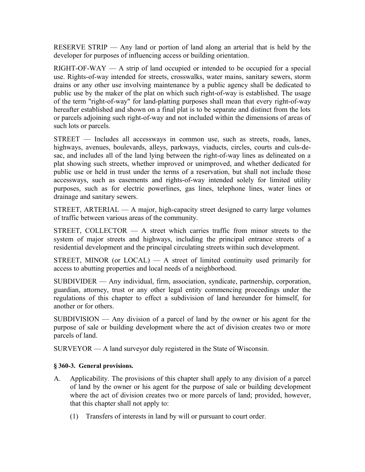RESERVE STRIP — Any land or portion of land along an arterial that is held by the developer for purposes of influencing access or building orientation.

RIGHT-OF-WAY — A strip of land occupied or intended to be occupied for a special use. Rights-of-way intended for streets, crosswalks, water mains, sanitary sewers, storm drains or any other use involving maintenance by a public agency shall be dedicated to public use by the maker of the plat on which such right-of-way is established. The usage of the term "right-of-way" for land-platting purposes shall mean that every right-of-way hereafter established and shown on a final plat is to be separate and distinct from the lots or parcels adjoining such right-of-way and not included within the dimensions of areas of such lots or parcels.

STREET — Includes all accessways in common use, such as streets, roads, lanes, highways, avenues, boulevards, alleys, parkways, viaducts, circles, courts and culs-desac, and includes all of the land lying between the right-of-way lines as delineated on a plat showing such streets, whether improved or unimproved, and whether dedicated for public use or held in trust under the terms of a reservation, but shall not include those accessways, such as easements and rights-of-way intended solely for limited utility purposes, such as for electric powerlines, gas lines, telephone lines, water lines or drainage and sanitary sewers.

STREET, ARTERIAL — A major, high-capacity street designed to carry large volumes of traffic between various areas of the community.

STREET, COLLECTOR  $-$  A street which carries traffic from minor streets to the system of major streets and highways, including the principal entrance streets of a residential development and the principal circulating streets within such development.

STREET, MINOR (or  $LOCAL$ )  $- A$  street of limited continuity used primarily for access to abutting properties and local needs of a neighborhood.

SUBDIVIDER — Any individual, firm, association, syndicate, partnership, corporation, guardian, attorney, trust or any other legal entity commencing proceedings under the regulations of this chapter to effect a subdivision of land hereunder for himself, for another or for others.

SUBDIVISION — Any division of a parcel of land by the owner or his agent for the purpose of sale or building development where the act of division creates two or more parcels of land.

SURVEYOR — A land surveyor duly registered in the State of Wisconsin.

### **§ 360-3. General provisions.**

- A. Applicability. The provisions of this chapter shall apply to any division of a parcel of land by the owner or his agent for the purpose of sale or building development where the act of division creates two or more parcels of land; provided, however, that this chapter shall not apply to:
	- (1) Transfers of interests in land by will or pursuant to court order.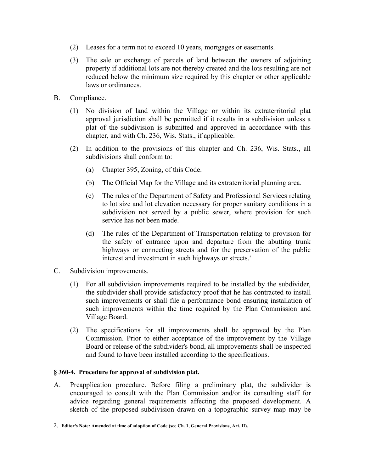- (2) Leases for a term not to exceed 10 years, mortgages or easements.
- (3) The sale or exchange of parcels of land between the owners of adjoining property if additional lots are not thereby created and the lots resulting are not reduced below the minimum size required by this chapter or other applicable laws or ordinances.
- B. Compliance.
	- (1) No division of land within the Village or within its extraterritorial plat approval jurisdiction shall be permitted if it results in a subdivision unless a plat of the subdivision is submitted and approved in accordance with this chapter, and with Ch. 236, Wis. Stats., if applicable.
	- (2) In addition to the provisions of this chapter and Ch. 236, Wis. Stats., all subdivisions shall conform to:
		- (a) Chapter 395, Zoning, of this Code.
		- (b) The Official Map for the Village and its extraterritorial planning area.
		- (c) The rules of the Department of Safety and Professional Services relating to lot size and lot elevation necessary for proper sanitary conditions in a subdivision not served by a public sewer, where provision for such service has not been made.
		- (d) The rules of the Department of Transportation relating to provision for the safety of entrance upon and departure from the abutting trunk highways or connecting streets and for the preservation of the public interest and investment in such highways or streets.<sup>[2](#page-3-0)</sup>
- C. Subdivision improvements.
	- (1) For all subdivision improvements required to be installed by the subdivider, the subdivider shall provide satisfactory proof that he has contracted to install such improvements or shall file a performance bond ensuring installation of such improvements within the time required by the Plan Commission and Village Board.
	- (2) The specifications for all improvements shall be approved by the Plan Commission. Prior to either acceptance of the improvement by the Village Board or release of the subdivider's bond, all improvements shall be inspected and found to have been installed according to the specifications.

### **§ 360-4. Procedure for approval of subdivision plat.**

A. Preapplication procedure. Before filing a preliminary plat, the subdivider is encouraged to consult with the Plan Commission and/or its consulting staff for advice regarding general requirements affecting the proposed development. A sketch of the proposed subdivision drawn on a topographic survey map may be

<span id="page-3-0"></span><sup>2</sup>. **Editor's Note: Amended at time of adoption of Code (see Ch. 1, General Provisions, Art. II).**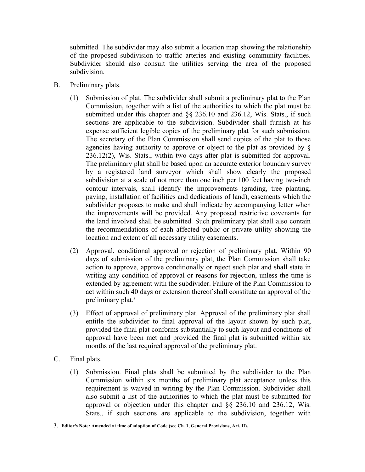submitted. The subdivider may also submit a location map showing the relationship of the proposed subdivision to traffic arteries and existing community facilities. Subdivider should also consult the utilities serving the area of the proposed subdivision.

- B. Preliminary plats.
	- (1) Submission of plat. The subdivider shall submit a preliminary plat to the Plan Commission, together with a list of the authorities to which the plat must be submitted under this chapter and §§ 236.10 and 236.12, Wis. Stats., if such sections are applicable to the subdivision. Subdivider shall furnish at his expense sufficient legible copies of the preliminary plat for such submission. The secretary of the Plan Commission shall send copies of the plat to those agencies having authority to approve or object to the plat as provided by § 236.12(2), Wis. Stats., within two days after plat is submitted for approval. The preliminary plat shall be based upon an accurate exterior boundary survey by a registered land surveyor which shall show clearly the proposed subdivision at a scale of not more than one inch per 100 feet having two-inch contour intervals, shall identify the improvements (grading, tree planting, paving, installation of facilities and dedications of land), easements which the subdivider proposes to make and shall indicate by accompanying letter when the improvements will be provided. Any proposed restrictive covenants for the land involved shall be submitted. Such preliminary plat shall also contain the recommendations of each affected public or private utility showing the location and extent of all necessary utility easements.
	- (2) Approval, conditional approval or rejection of preliminary plat. Within 90 days of submission of the preliminary plat, the Plan Commission shall take action to approve, approve conditionally or reject such plat and shall state in writing any condition of approval or reasons for rejection, unless the time is extended by agreement with the subdivider. Failure of the Plan Commission to act within such 40 days or extension thereof shall constitute an approval of the preliminary plat.<sup>[3](#page-4-0)</sup>
	- (3) Effect of approval of preliminary plat. Approval of the preliminary plat shall entitle the subdivider to final approval of the layout shown by such plat, provided the final plat conforms substantially to such layout and conditions of approval have been met and provided the final plat is submitted within six months of the last required approval of the preliminary plat.
- C. Final plats.
	- (1) Submission. Final plats shall be submitted by the subdivider to the Plan Commission within six months of preliminary plat acceptance unless this requirement is waived in writing by the Plan Commission. Subdivider shall also submit a list of the authorities to which the plat must be submitted for approval or objection under this chapter and §§ 236.10 and 236.12, Wis. Stats., if such sections are applicable to the subdivision, together with

<span id="page-4-0"></span><sup>3</sup>. **Editor's Note: Amended at time of adoption of Code (see Ch. 1, General Provisions, Art. II).**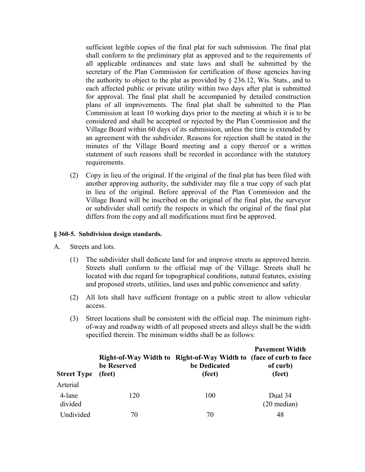sufficient legible copies of the final plat for such submission. The final plat shall conform to the preliminary plat as approved and to the requirements of all applicable ordinances and state laws and shall be submitted by the secretary of the Plan Commission for certification of those agencies having the authority to object to the plat as provided by § 236.12, Wis. Stats., and to each affected public or private utility within two days after plat is submitted for approval. The final plat shall be accompanied by detailed construction plans of all improvements. The final plat shall be submitted to the Plan Commission at least 10 working days prior to the meeting at which it is to be considered and shall be accepted or rejected by the Plan Commission and the Village Board within 60 days of its submission, unless the time is extended by an agreement with the subdivider. Reasons for rejection shall be stated in the minutes of the Village Board meeting and a copy thereof or a written statement of such reasons shall be recorded in accordance with the statutory requirements.

(2) Copy in lieu of the original. If the original of the final plat has been filed with another approving authority, the subdivider may file a true copy of such plat in lieu of the original. Before approval of the Plan Commission and the Village Board will be inscribed on the original of the final plat, the surveyor or subdivider shall certify the respects in which the original of the final plat differs from the copy and all modifications must first be approved.

#### **§ 360-5. Subdivision design standards.**

- A. Streets and lots.
	- (1) The subdivider shall dedicate land for and improve streets as approved herein. Streets shall conform to the official map of the Village. Streets shall be located with due regard for topographical conditions, natural features, existing and proposed streets, utilities, land uses and public convenience and safety.
	- (2) All lots shall have sufficient frontage on a public street to allow vehicular access.
	- (3) Street locations shall be consistent with the official map. The minimum rightof-way and roadway width of all proposed streets and alleys shall be the width specified therein. The minimum widths shall be as follows:

| <b>Street Type</b> | be Reserved<br>(feet) | Right-of-Way Width to Right-of-Way Width to (face of curb to face<br>be Dedicated<br>(feet) | <b>Pavement Width</b><br>of curb)<br>(feet) |
|--------------------|-----------------------|---------------------------------------------------------------------------------------------|---------------------------------------------|
| Arterial           |                       |                                                                                             |                                             |
| 4-lane<br>divided  | 120                   | 100                                                                                         | Dual 34<br>$(20 \text{ median})$            |
| Undivided          | 70                    | 70                                                                                          | 48                                          |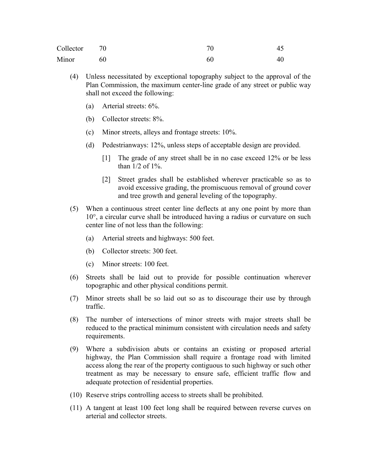| Collector | 70 | 70 |    |
|-----------|----|----|----|
| Minor     | 60 | 60 | 40 |

- (4) Unless necessitated by exceptional topography subject to the approval of the Plan Commission, the maximum center-line grade of any street or public way shall not exceed the following:
	- (a) Arterial streets: 6%.
	- (b) Collector streets: 8%.
	- (c) Minor streets, alleys and frontage streets: 10%.
	- (d) Pedestrianways: 12%, unless steps of acceptable design are provided.
		- [1] The grade of any street shall be in no case exceed 12% or be less than 1/2 of 1%.
		- [2] Street grades shall be established wherever practicable so as to avoid excessive grading, the promiscuous removal of ground cover and tree growth and general leveling of the topography.
- (5) When a continuous street center line deflects at any one point by more than 10°, a circular curve shall be introduced having a radius or curvature on such center line of not less than the following:
	- (a) Arterial streets and highways: 500 feet.
	- (b) Collector streets: 300 feet.
	- (c) Minor streets: 100 feet.
- (6) Streets shall be laid out to provide for possible continuation wherever topographic and other physical conditions permit.
- (7) Minor streets shall be so laid out so as to discourage their use by through traffic.
- (8) The number of intersections of minor streets with major streets shall be reduced to the practical minimum consistent with circulation needs and safety requirements.
- (9) Where a subdivision abuts or contains an existing or proposed arterial highway, the Plan Commission shall require a frontage road with limited access along the rear of the property contiguous to such highway or such other treatment as may be necessary to ensure safe, efficient traffic flow and adequate protection of residential properties.
- (10) Reserve strips controlling access to streets shall be prohibited.
- (11) A tangent at least 100 feet long shall be required between reverse curves on arterial and collector streets.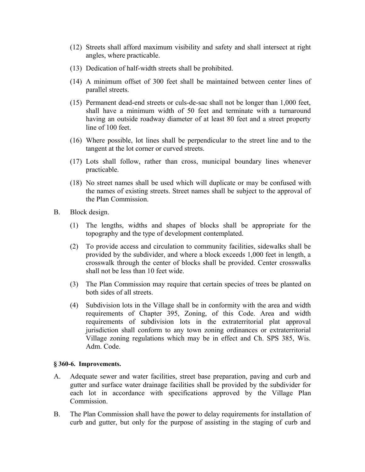- (12) Streets shall afford maximum visibility and safety and shall intersect at right angles, where practicable.
- (13) Dedication of half-width streets shall be prohibited.
- (14) A minimum offset of 300 feet shall be maintained between center lines of parallel streets.
- (15) Permanent dead-end streets or culs-de-sac shall not be longer than 1,000 feet, shall have a minimum width of 50 feet and terminate with a turnaround having an outside roadway diameter of at least 80 feet and a street property line of 100 feet.
- (16) Where possible, lot lines shall be perpendicular to the street line and to the tangent at the lot corner or curved streets.
- (17) Lots shall follow, rather than cross, municipal boundary lines whenever practicable.
- (18) No street names shall be used which will duplicate or may be confused with the names of existing streets. Street names shall be subject to the approval of the Plan Commission.
- B. Block design.
	- (1) The lengths, widths and shapes of blocks shall be appropriate for the topography and the type of development contemplated.
	- (2) To provide access and circulation to community facilities, sidewalks shall be provided by the subdivider, and where a block exceeds 1,000 feet in length, a crosswalk through the center of blocks shall be provided. Center crosswalks shall not be less than 10 feet wide.
	- (3) The Plan Commission may require that certain species of trees be planted on both sides of all streets.
	- (4) Subdivision lots in the Village shall be in conformity with the area and width requirements of Chapter 395, Zoning, of this Code. Area and width requirements of subdivision lots in the extraterritorial plat approval jurisdiction shall conform to any town zoning ordinances or extraterritorial Village zoning regulations which may be in effect and Ch. SPS 385, Wis. Adm. Code.

#### **§ 360-6. Improvements.**

- A. Adequate sewer and water facilities, street base preparation, paving and curb and gutter and surface water drainage facilities shall be provided by the subdivider for each lot in accordance with specifications approved by the Village Plan **Commission**
- B. The Plan Commission shall have the power to delay requirements for installation of curb and gutter, but only for the purpose of assisting in the staging of curb and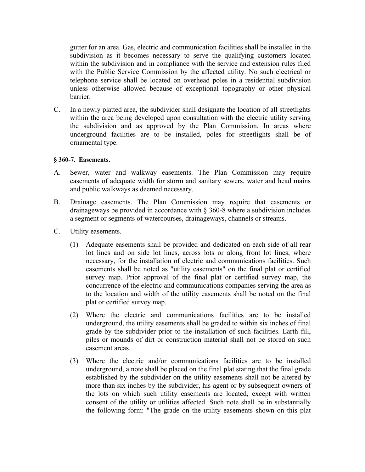gutter for an area. Gas, electric and communication facilities shall be installed in the subdivision as it becomes necessary to serve the qualifying customers located within the subdivision and in compliance with the service and extension rules filed with the Public Service Commission by the affected utility. No such electrical or telephone service shall be located on overhead poles in a residential subdivision unless otherwise allowed because of exceptional topography or other physical barrier.

C. In a newly platted area, the subdivider shall designate the location of all streetlights within the area being developed upon consultation with the electric utility serving the subdivision and as approved by the Plan Commission. In areas where underground facilities are to be installed, poles for streetlights shall be of ornamental type.

### **§ 360-7. Easements.**

- A. Sewer, water and walkway easements. The Plan Commission may require easements of adequate width for storm and sanitary sewers, water and head mains and public walkways as deemed necessary.
- B. Drainage easements. The Plan Commission may require that easements or drainageways be provided in accordance with § 360-8 where a subdivision includes a segment or segments of watercourses, drainageways, channels or streams.
- C. Utility easements.
	- (1) Adequate easements shall be provided and dedicated on each side of all rear lot lines and on side lot lines, across lots or along front lot lines, where necessary, for the installation of electric and communications facilities. Such easements shall be noted as "utility easements" on the final plat or certified survey map. Prior approval of the final plat or certified survey map, the concurrence of the electric and communications companies serving the area as to the location and width of the utility easements shall be noted on the final plat or certified survey map.
	- (2) Where the electric and communications facilities are to be installed underground, the utility easements shall be graded to within six inches of final grade by the subdivider prior to the installation of such facilities. Earth fill, piles or mounds of dirt or construction material shall not be stored on such easement areas.
	- (3) Where the electric and/or communications facilities are to be installed underground, a note shall be placed on the final plat stating that the final grade established by the subdivider on the utility easements shall not be altered by more than six inches by the subdivider, his agent or by subsequent owners of the lots on which such utility easements are located, except with written consent of the utility or utilities affected. Such note shall be in substantially the following form: "The grade on the utility easements shown on this plat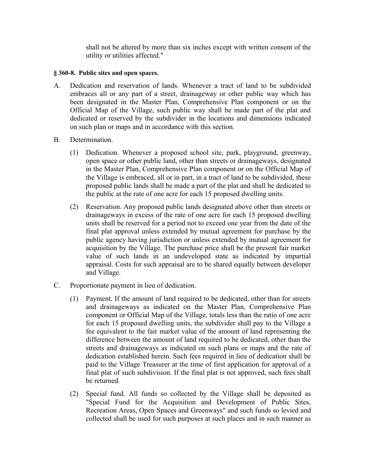shall not be altered by more than six inches except with written consent of the utility or utilities affected."

### **§ 360-8. Public sites and open spaces.**

- A. Dedication and reservation of lands. Whenever a tract of land to be subdivided embraces all or any part of a street, drainageway or other public way which has been designated in the Master Plan, Comprehensive Plan component or on the Official Map of the Village, such public way shall be made part of the plat and dedicated or reserved by the subdivider in the locations and dimensions indicated on such plan or maps and in accordance with this section.
- B. Determination.
	- (1) Dedication. Whenever a proposed school site, park, playground, greenway, open space or other public land, other than streets or drainageways, designated in the Master Plan, Comprehensive Plan component or on the Official Map of the Village is embraced, all or in part, in a tract of land to be subdivided, these proposed public lands shall be made a part of the plat and shall be dedicated to the public at the rate of one acre for each 15 proposed dwelling units.
	- (2) Reservation. Any proposed public lands designated above other than streets or drainageways in excess of the rate of one acre for each 15 proposed dwelling units shall be reserved for a period not to exceed one year from the date of the final plat approval unless extended by mutual agreement for purchase by the public agency having jurisdiction or unless extended by mutual agreement for acquisition by the Village. The purchase price shall be the present fair market value of such lands in an undeveloped state as indicated by impartial appraisal. Costs for such appraisal are to be shared equally between developer and Village.
- C. Proportionate payment in lieu of dedication.
	- (1) Payment. If the amount of land required to be dedicated, other than for streets and drainageways as indicated on the Master Plan, Comprehensive Plan component or Official Map of the Village, totals less than the ratio of one acre for each 15 proposed dwelling units, the subdivider shall pay to the Village a fee equivalent to the fair market value of the amount of land representing the difference between the amount of land required to be dedicated, other than the streets and drainageways as indicated on such plans or maps and the rate of dedication established herein. Such fees required in lieu of dedication shall be paid to the Village Treasurer at the time of first application for approval of a final plat of such subdivision. If the final plat is not approved, such fees shall be returned.
	- (2) Special fund. All funds so collected by the Village shall be deposited as "Special Fund for the Acquisition and Development of Public Sites, Recreation Areas, Open Spaces and Greenways" and such funds so levied and collected shall be used for such purposes at such places and in such manner as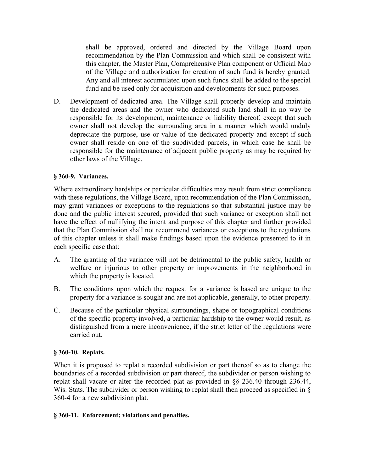shall be approved, ordered and directed by the Village Board upon recommendation by the Plan Commission and which shall be consistent with this chapter, the Master Plan, Comprehensive Plan component or Official Map of the Village and authorization for creation of such fund is hereby granted. Any and all interest accumulated upon such funds shall be added to the special fund and be used only for acquisition and developments for such purposes.

D. Development of dedicated area. The Village shall properly develop and maintain the dedicated areas and the owner who dedicated such land shall in no way be responsible for its development, maintenance or liability thereof, except that such owner shall not develop the surrounding area in a manner which would unduly depreciate the purpose, use or value of the dedicated property and except if such owner shall reside on one of the subdivided parcels, in which case he shall be responsible for the maintenance of adjacent public property as may be required by other laws of the Village.

## **§ 360-9. Variances.**

Where extraordinary hardships or particular difficulties may result from strict compliance with these regulations, the Village Board, upon recommendation of the Plan Commission, may grant variances or exceptions to the regulations so that substantial justice may be done and the public interest secured, provided that such variance or exception shall not have the effect of nullifying the intent and purpose of this chapter and further provided that the Plan Commission shall not recommend variances or exceptions to the regulations of this chapter unless it shall make findings based upon the evidence presented to it in each specific case that:

- A. The granting of the variance will not be detrimental to the public safety, health or welfare or injurious to other property or improvements in the neighborhood in which the property is located.
- B. The conditions upon which the request for a variance is based are unique to the property for a variance is sought and are not applicable, generally, to other property.
- C. Because of the particular physical surroundings, shape or topographical conditions of the specific property involved, a particular hardship to the owner would result, as distinguished from a mere inconvenience, if the strict letter of the regulations were carried out.

# **§ 360-10. Replats.**

When it is proposed to replat a recorded subdivision or part thereof so as to change the boundaries of a recorded subdivision or part thereof, the subdivider or person wishing to replat shall vacate or alter the recorded plat as provided in §§ 236.40 through 236.44, Wis. Stats. The subdivider or person wishing to replat shall then proceed as specified in § 360-4 for a new subdivision plat.

### **§ 360-11. Enforcement; violations and penalties.**